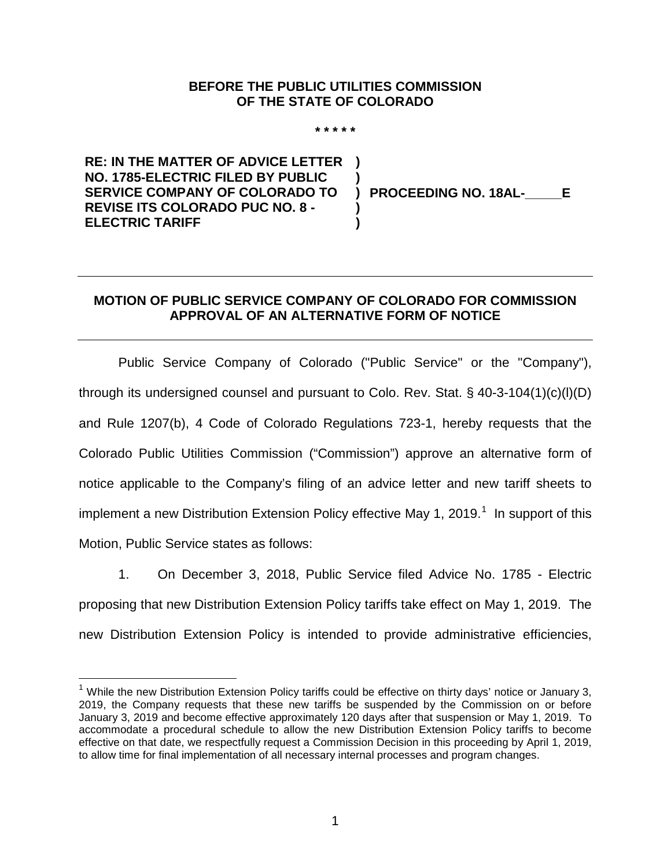## **BEFORE THE PUBLIC UTILITIES COMMISSION OF THE STATE OF COLORADO**

**\* \* \* \* \***

**) )**

**) )**

**RE: IN THE MATTER OF ADVICE LETTER NO. 1785-ELECTRIC FILED BY PUBLIC SERVICE COMPANY OF COLORADO TO REVISE ITS COLORADO PUC NO. 8 - ELECTRIC TARIFF**

**) PROCEEDING NO. 18AL-\_\_\_\_\_E**

## **MOTION OF PUBLIC SERVICE COMPANY OF COLORADO FOR COMMISSION APPROVAL OF AN ALTERNATIVE FORM OF NOTICE**

Public Service Company of Colorado ("Public Service" or the "Company"), through its undersigned counsel and pursuant to Colo. Rev. Stat.  $\S$  40-3-104(1)(c)(l)(D) and Rule 1207(b), 4 Code of Colorado Regulations 723-1, hereby requests that the Colorado Public Utilities Commission ("Commission") approve an alternative form of notice applicable to the Company's filing of an advice letter and new tariff sheets to implement a new Distribution Extension Policy effective May [1](#page-0-0), 2019.<sup>1</sup> In support of this Motion, Public Service states as follows:

1. On December 3, 2018, Public Service filed Advice No. 1785 - Electric proposing that new Distribution Extension Policy tariffs take effect on May 1, 2019. The new Distribution Extension Policy is intended to provide administrative efficiencies,

<span id="page-0-0"></span> $1$  While the new Distribution Extension Policy tariffs could be effective on thirty days' notice or January 3, 2019, the Company requests that these new tariffs be suspended by the Commission on or before January 3, 2019 and become effective approximately 120 days after that suspension or May 1, 2019. To accommodate a procedural schedule to allow the new Distribution Extension Policy tariffs to become effective on that date, we respectfully request a Commission Decision in this proceeding by April 1, 2019, to allow time for final implementation of all necessary internal processes and program changes.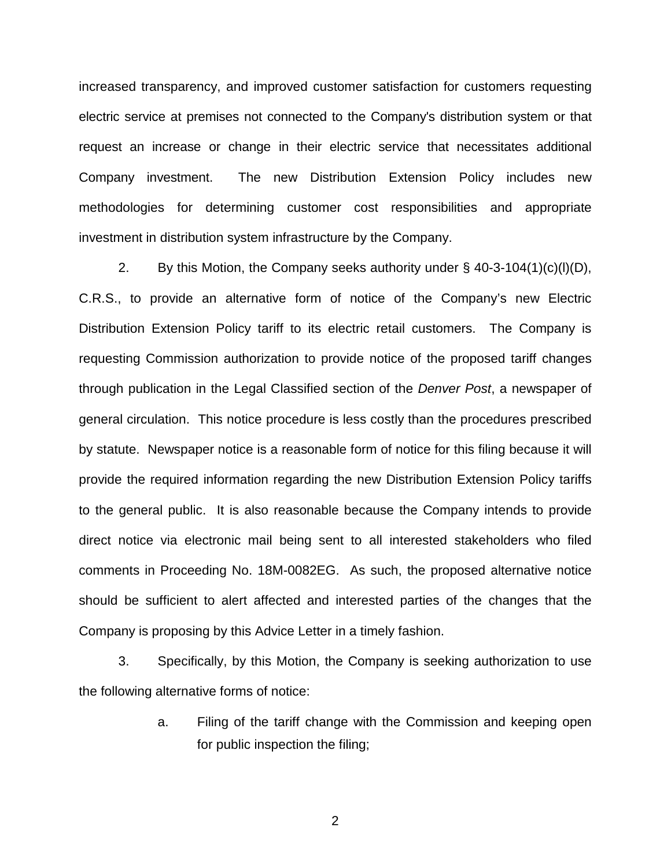increased transparency, and improved customer satisfaction for customers requesting electric service at premises not connected to the Company's distribution system or that request an increase or change in their electric service that necessitates additional Company investment. The new Distribution Extension Policy includes new methodologies for determining customer cost responsibilities and appropriate investment in distribution system infrastructure by the Company.

2. By this Motion, the Company seeks authority under  $\S$  40-3-104(1)(c)(l)(D), C.R.S., to provide an alternative form of notice of the Company's new Electric Distribution Extension Policy tariff to its electric retail customers. The Company is requesting Commission authorization to provide notice of the proposed tariff changes through publication in the Legal Classified section of the *Denver Post*, a newspaper of general circulation. This notice procedure is less costly than the procedures prescribed by statute. Newspaper notice is a reasonable form of notice for this filing because it will provide the required information regarding the new Distribution Extension Policy tariffs to the general public. It is also reasonable because the Company intends to provide direct notice via electronic mail being sent to all interested stakeholders who filed comments in Proceeding No. 18M-0082EG. As such, the proposed alternative notice should be sufficient to alert affected and interested parties of the changes that the Company is proposing by this Advice Letter in a timely fashion.

3. Specifically, by this Motion, the Company is seeking authorization to use the following alternative forms of notice:

> a. Filing of the tariff change with the Commission and keeping open for public inspection the filing;

> > 2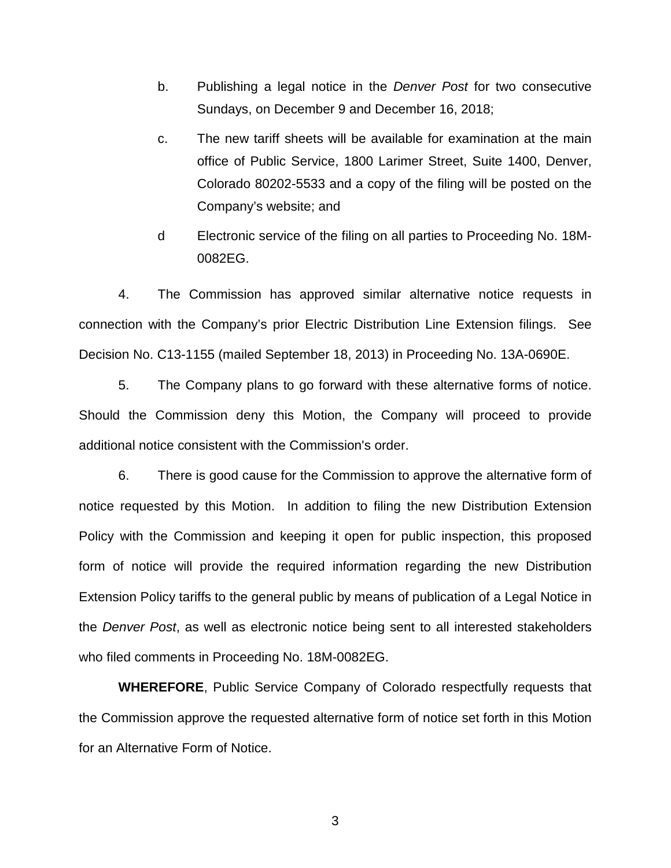- b. Publishing a legal notice in the *Denver Post* for two consecutive Sundays, on December 9 and December 16, 2018;
- c. The new tariff sheets will be available for examination at the main office of Public Service, 1800 Larimer Street, Suite 1400, Denver, Colorado 80202-5533 and a copy of the filing will be posted on the Company's website; and
- d Electronic service of the filing on all parties to Proceeding No. 18M-0082EG.

4. The Commission has approved similar alternative notice requests in connection with the Company's prior Electric Distribution Line Extension filings. See Decision No. C13-1155 (mailed September 18, 2013) in Proceeding No. 13A-0690E.

5. The Company plans to go forward with these alternative forms of notice. Should the Commission deny this Motion, the Company will proceed to provide additional notice consistent with the Commission's order.

6. There is good cause for the Commission to approve the alternative form of notice requested by this Motion. In addition to filing the new Distribution Extension Policy with the Commission and keeping it open for public inspection, this proposed form of notice will provide the required information regarding the new Distribution Extension Policy tariffs to the general public by means of publication of a Legal Notice in the *Denver Post*, as well as electronic notice being sent to all interested stakeholders who filed comments in Proceeding No. 18M-0082EG.

**WHEREFORE**, Public Service Company of Colorado respectfully requests that the Commission approve the requested alternative form of notice set forth in this Motion for an Alternative Form of Notice.

3